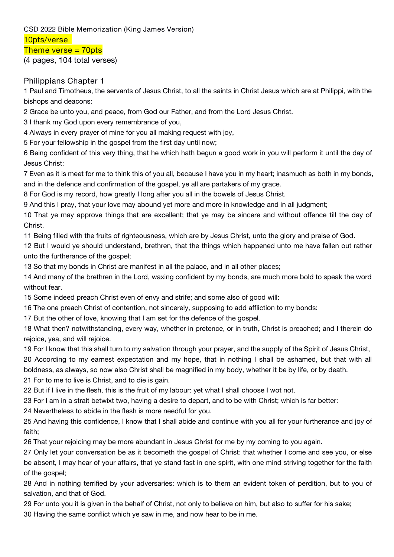# **CSD 2022 Bible Memorization (King James Version)**

**10pts/verse**

#### **Theme verse = 70pts**

(4 pages, 104 total verses)

### **Philippians Chapter 1**

1 Paul and Timotheus, the servants of Jesus Christ, to all the saints in Christ Jesus which are at Philippi,with the bishops and deacons:

2 Grace be unto you, and peace, from God our Father, and from the Lord Jesus Christ.

3 I thank my God upon every remembrance of you,

4 Always in every prayer of mine for you all making request with joy,

5 For your fellowship in the gospel from the first day until now;

6 Being confident of this very thing, that he which hath begun a good work in you will perform it until the dayof Jesus Christ:

7 Even as it is meet for me to think this of you all, because I have you in my heart; inasmuch as both in my bonds, and in the defence and confirmation of the gospel, ye all are partakers of my grace.

8 For God is my record, how greatly I long after you all in the bowels of Jesus Christ.

9 And this I pray, that your love may abound yet more and more in knowledge and in all judgment;

10 That ye may approve things that are excellent; that ye may be sincere and without offence till the day of Christ.

11 Being filled with the fruits of righteousness, which are by Jesus Christ, unto the glory and praise of God.

12 But I would ye should understand, brethren, that the things which happened unto me have fallen out rather unto the furtherance of the gospel;

13 So that my bonds in Christ are manifest in all the palace, and in all other places;

14 And many of the brethren in the Lord, waxing confident by my bonds, are much more bold to speak the word without fear.

15 Some indeed preach Christ even of envy and strife; and some also of good will:

16 The one preach Christ of contention, not sincerely, supposing to add affliction to my bonds:

17 But the other of love, knowing that I am set for the defence of the gospel.

18 What then? notwithstanding, every way, whether in pretence, or in truth, Christ is preached; and I therein do rejoice, yea, and will rejoice.

19 For I know that this shall turn to my salvation through your prayer, and the supply of the Spirit of Jesus Christ,

20 According to my earnest expectation and my hope, that in nothing I shall be ashamed, but that with all boldness, as always, so now also Christ shall be magnified in my body, whether it be by life, or by death.

21 For to me to live is Christ, and to die is gain.

22 But if I live in the flesh, this is the fruit of my labour: yet what I shall choose I wot not.

23 For I am in a strait betwixt two, having a desire to depart, and to be with Christ; which is far better:

24 Nevertheless to abide in the flesh is more needful for you.

25 And having this confidence, I know that I shall abide and continue with you all for your furtherance and joy of faith;

26 That your rejoicing may be more abundant in Jesus Christ for me by my coming to you again.

27 Only let your conversation be as it becometh the gospel of Christ: that whether I come and see you, or else be absent, I may hear of your affairs, that ye stand fast in one spirit, with one mind striving together for the faith of the gospel;

28 And in nothing terrified by your adversaries: which is to them an evident token of perdition, but to you of salvation, and that of God.

29 For unto you it is given in the behalf of Christ, not only to believe on him, but also to suffer for his sake;

30 Having the same conflict which ye saw in me, and now hear to be in me.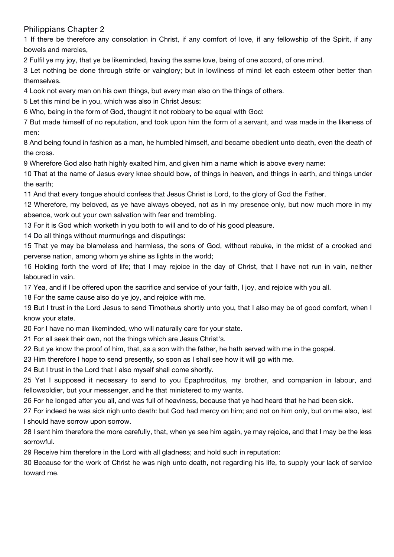#### **Philippians Chapter 2**

1 If there be therefore any consolation in Christ, if any comfort of love, if any fellowship of the Spirit, if any bowels and mercies,

2 Fulfil ye my joy, that ye be likeminded, having the same love, being of one accord, of one mind.

3 Let nothing be done through strife or vainglory; but in lowliness of mind let each esteem other better than themselves.

4 Look not every man on his own things, but every man also on the things of others.

5 Let this mind be in you, which was also in Christ Jesus:

6 Who, being in the form of God, thought it not robbery to be equalwith God:

7 But made himself of no reputation, and took upon him the form of a servant, and was made in the likeness of men:

8 And being found in fashion as a man, he humbled himself, and became obedient unto death, even the death of the cross.

9 Wherefore God also hath highly exalted him, and given him a name which is above every name:

10 That at the name of Jesus every knee should bow, of things in heaven, and things in earth, and things under the earth;

11 And that every tongue should confess that Jesus Christ is Lord, to the glory of God the Father.

12 Wherefore, my beloved, as ye have always obeyed, not as in my presence only, but now much more in my absence, work out your own salvation with fear and trembling.

13 For it is God which worketh in you both to will and to do of his good pleasure.

14 Do all things without murmurings and disputings:

15 That ye may be blameless and harmless, the sons of God, without rebuke, in the midst of a crooked and perverse nation, among whom ye shine as lights in the world;

16 Holding forth the word of life; that I may rejoice in the day of Christ, that I have not run in vain, neither laboured in vain.

17 Yea, and if Ibe offered upon the sacrifice and service of your faith, I joy, and rejoice with you all.

18 For the same cause also do ye joy, and rejoice with me.

19 But I trust in the Lord Jesus to send Timotheus shortly unto you, that I also may be of good comfort, when I know your state.

20 For I have no man likeminded, who will naturally care for your state.

21 For all seek their own, not the things which are Jesus Christ's.

22 But ye know the proof of him, that, as a son with the father, he hath served with me in the gospel.<br>23 Him therefore I hope to send presently, so soon as I shall see how it will go with me.

24 But I trust in the Lord that I also myself shall come shortly.

25 Yet I supposed it necessary to send to you Epaphroditus, my brother, and companion in labour, and

fellowsoldier, but your messenger, and he that ministered to my wants.<br>26 For he longed after you all, and was full of heaviness, because that ye had heard that he had been sick.

27 For indeed he was sick nigh unto death: but God had mercy on him; and not on him only, but on me also, lest I should have sorrow upon sorrow.

28 I sent him therefore the more carefully, that, when ye see him again, ye may rejoice, and that I may be the less sorrowful.

29 Receive him therefore in the Lord with all gladness; and hold such in reputation:

30 Because for the work of Christ he was nigh unto death, not regarding his life, to supply your lack of service toward me.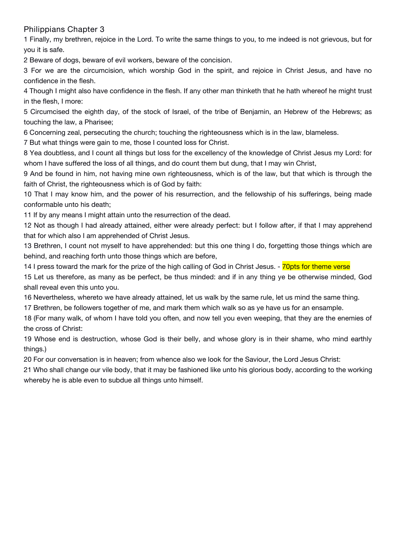#### **Philippians Chapter 3**

1 Finally, my brethren, rejoice in the Lord. To write the same things to you, to me indeed is not grievous, but for you it is safe.

2 Beware of dogs, beware of evil workers, beware of the concision.

3 For we are the circumcision, which worship God in the spirit, and rejoice in Christ Jesus, and have no confidence in the flesh.

4 Though I might also have confidence in the flesh. If any other man thinketh that he hath whereof he might trust in the flesh, I more:

5 Circumcised the eighth day, of the stock of Israel, of the tribe of Benjamin, an Hebrew of the Hebrews; as touching the law, a Pharisee;

6 Concerning zeal, persecuting the church; touching the righteousness which is in the law, blameless.

7 But what things were gain to me, those I counted loss for Christ.

8 Yea doubtless, and I count all things but loss for the excellency of the knowledge of Christ Jesus my Lord: for whom I have suffered the loss of all things, and do count them but dung, that I may win Christ,

9 And be found in him, not having mine own righteousness, which is of the law, but that which is through the faith of Christ, the righteousness which is of God by faith:

10 That I may know him, and the power of his resurrection, and the fellowship of his sufferings, being made conformable unto his death;

11 If by any means I might attain unto the resurrection of the dead.

12 Not as though I had already attained, either were already perfect: but I follow after, if that I may apprehend that for which also I am apprehended of Christ Jesus.

13 Brethren, I count not myself to have apprehended: but this one thing I do, forgetting those things which are behind, and reaching forth unto those things which are before,

14 I press toward the mark for the prize of the high calling of God in Christ Jesus. - 70pts for theme verse

15 Let us therefore, as many as be perfect, be thus minded: and if in any thing ye be otherwise minded, God shall reveal even this unto you.

16 Nevertheless, whereto we have already attained, let us walk by the same rule, let us mind the same thing.

17 Brethren, be followers together of me, and mark them which walk so as ye have us for an ensample.

18 (For many walk, of whom I have told you often, and now tell you even weeping, that they are the enemies of the cross of Christ:

19 Whose end is destruction, whose God is their belly, and whose glory is in their shame, who mind earthly things.)

20 For our conversation is in heaven; from whence also we look for the Saviour, the Lord Jesus Christ:

21 Who shall change our vile body, that it may be fashioned like unto his glorious body, according to the working whereby he is able even to subdue all things unto himself.